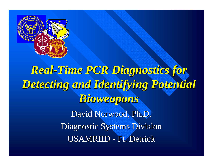

# *Real-Time PCR Diagnostics for Time PCR Diagnostics for Detecting and Identifying Potential Detecting and Identifying Potential Bioweapons Bioweapons* David Norwood, Ph.D. Diagnostic Systems Division USAMRIID - Ft. Detrick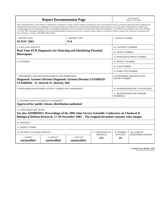| <b>Report Documentation Page</b>                                                                                                                                                                                                                                                                                                                                                                                                                                                                                                                                                                                                                                                                                                                                                                                                                                   |                             |                              | Form Approved<br>OMB No. 0704-0188      |                                           |                           |
|--------------------------------------------------------------------------------------------------------------------------------------------------------------------------------------------------------------------------------------------------------------------------------------------------------------------------------------------------------------------------------------------------------------------------------------------------------------------------------------------------------------------------------------------------------------------------------------------------------------------------------------------------------------------------------------------------------------------------------------------------------------------------------------------------------------------------------------------------------------------|-----------------------------|------------------------------|-----------------------------------------|-------------------------------------------|---------------------------|
| Public reporting burden for the collection of information is estimated to average 1 hour per response, including the time for reviewing instructions, searching existing data sources, gathering and<br>maintaining the data needed, and completing and reviewing the collection of information. Send comments regarding this burden estimate or any other aspect of this collection of information,<br>including suggestions for reducing this burden, to Washington Headquarters Services, Directorate for Information Operations and Reports, 1215 Jefferson Davis Highway, Suite 1204, Arlington<br>VA 22202-4302. Respondents should be aware that notwithstanding any other provision of law, no person shall be subject to a penalty for failing to comply with a collection of information if it<br>does not display a currently valid OMB control number. |                             |                              |                                         |                                           |                           |
| 1. REPORT DATE<br><b>18 NOV 2003</b>                                                                                                                                                                                                                                                                                                                                                                                                                                                                                                                                                                                                                                                                                                                                                                                                                               | 2. REPORT TYPE<br>N/A       |                              | <b>3. DATES COVERED</b>                 |                                           |                           |
| <b>4. TITLE AND SUBTITLE</b><br><b>Real-Time PCR Diagnostics for Detecting and Identifying Potential</b><br><b>Bioweapons</b>                                                                                                                                                                                                                                                                                                                                                                                                                                                                                                                                                                                                                                                                                                                                      |                             |                              | 5a. CONTRACT NUMBER                     |                                           |                           |
|                                                                                                                                                                                                                                                                                                                                                                                                                                                                                                                                                                                                                                                                                                                                                                                                                                                                    |                             |                              | 5b. GRANT NUMBER                        |                                           |                           |
|                                                                                                                                                                                                                                                                                                                                                                                                                                                                                                                                                                                                                                                                                                                                                                                                                                                                    |                             |                              | 5c. PROGRAM ELEMENT NUMBER              |                                           |                           |
| 6. AUTHOR(S)                                                                                                                                                                                                                                                                                                                                                                                                                                                                                                                                                                                                                                                                                                                                                                                                                                                       |                             |                              | 5d. PROJECT NUMBER                      |                                           |                           |
|                                                                                                                                                                                                                                                                                                                                                                                                                                                                                                                                                                                                                                                                                                                                                                                                                                                                    |                             |                              |                                         | <b>5e. TASK NUMBER</b>                    |                           |
|                                                                                                                                                                                                                                                                                                                                                                                                                                                                                                                                                                                                                                                                                                                                                                                                                                                                    |                             |                              |                                         | 5f. WORK UNIT NUMBER                      |                           |
| 7. PERFORMING ORGANIZATION NAME(S) AND ADDRESS(ES)<br>8. PERFORMING ORGANIZATION<br><b>REPORT NUMBER</b><br><b>Diagnostic Systems Division Diagnostic Systems Division USAMRIID</b><br><b>USAMRIID - Ft. Detrick Ft. Detrick, MD</b>                                                                                                                                                                                                                                                                                                                                                                                                                                                                                                                                                                                                                               |                             |                              |                                         |                                           |                           |
| 10. SPONSOR/MONITOR'S ACRONYM(S)<br>9. SPONSORING/MONITORING AGENCY NAME(S) AND ADDRESS(ES)                                                                                                                                                                                                                                                                                                                                                                                                                                                                                                                                                                                                                                                                                                                                                                        |                             |                              |                                         |                                           |                           |
|                                                                                                                                                                                                                                                                                                                                                                                                                                                                                                                                                                                                                                                                                                                                                                                                                                                                    |                             |                              |                                         | 11. SPONSOR/MONITOR'S REPORT<br>NUMBER(S) |                           |
| 12. DISTRIBUTION/AVAILABILITY STATEMENT<br>Approved for public release, distribution unlimited                                                                                                                                                                                                                                                                                                                                                                                                                                                                                                                                                                                                                                                                                                                                                                     |                             |                              |                                         |                                           |                           |
| <b>13. SUPPLEMENTARY NOTES</b><br>See also ADM001851, Proceedings of the 2003 Joint Service Scientific Conference on Chemical &<br>Biological Defense Research, 17-20 November 2003., The original document contains color images.                                                                                                                                                                                                                                                                                                                                                                                                                                                                                                                                                                                                                                 |                             |                              |                                         |                                           |                           |
| 14. ABSTRACT                                                                                                                                                                                                                                                                                                                                                                                                                                                                                                                                                                                                                                                                                                                                                                                                                                                       |                             |                              |                                         |                                           |                           |
| <b>15. SUBJECT TERMS</b>                                                                                                                                                                                                                                                                                                                                                                                                                                                                                                                                                                                                                                                                                                                                                                                                                                           |                             |                              |                                         |                                           |                           |
| 16. SECURITY CLASSIFICATION OF:                                                                                                                                                                                                                                                                                                                                                                                                                                                                                                                                                                                                                                                                                                                                                                                                                                    |                             |                              | 17. LIMITATION OF                       | 18. NUMBER                                | 19a. NAME OF              |
| a. REPORT<br>unclassified                                                                                                                                                                                                                                                                                                                                                                                                                                                                                                                                                                                                                                                                                                                                                                                                                                          | b. ABSTRACT<br>unclassified | c. THIS PAGE<br>unclassified | <b>ABSTRACT</b><br>OF PAGES<br>UU<br>31 |                                           | <b>RESPONSIBLE PERSON</b> |

| Standard Form 298 (Rev. 8-98) |
|-------------------------------|
| Prescribed by ANSI Std Z39-18 |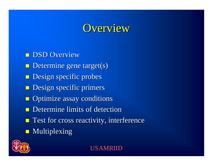#### Overview

**DSD Overview**  $\blacksquare$  Determine gene target(s) **Design specific probes Design specific primers**  $\blacksquare$  Optimize assay conditions  $\blacksquare$  Determine limits of detection  $\blacksquare$  Test for cross reactivity, interference  $\blacksquare$  Multiplexing

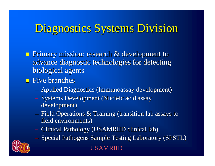### Diagnostics Systems Division

**Primary mission: research & development to** advance diagnostic technologies for detecting biological agents

#### $\blacksquare$  Five branches

- Applied Diagnostics (Immunoassay development)
- Systems Development (Nucleic acid assay development) development)
- Field Operations  $\&$  Training (transition lab assays to field environments)
- Clinical Pathology (USAMRIID clinical lab)
- Special Pathogens Sample Testing Laboratory (SPSTL)

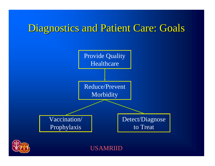### Diagnostics and Patient Care: Goals



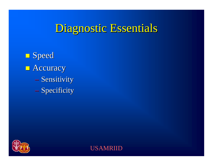### Diagnostic Essentials

**<u>Deed</u>**  $\blacksquare$  Accuracy — Sensitivity – Specificity



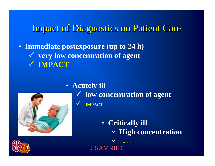#### **Impact of Diagnostics on Patient Care**

- **Immediate postexposure (up to 24 h)**
	- " **very low concentration of agent** " **IMPACT**



• **Acutely ill** " **low concentration of agent**

- $\checkmark$  **IMPACT**
	- **Critically ill** " **High concentration**  $\checkmark$ IMPACT

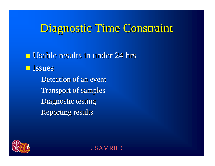### Diagnostic Time Constraint

 $\blacksquare$  Usable results in under 24 hrs **<u>Elissues</u>** 

- Detection of an event
- Transport of samples
- Diagnostic testing
- $-$  Reporting results

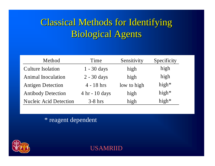### Classical Methods for Identifying Classical Methods for Identifying **Biological Agents**

| Method                        | Time             | Sensitivity | Specificity |
|-------------------------------|------------------|-------------|-------------|
| <b>Culture Isolation</b>      | $1 - 30$ days    | high        | high        |
| <b>Animal Inoculation</b>     | $2 - 30$ days    | high        | high        |
| <b>Antigen Detection</b>      | $4 - 18$ hrs     | low to high | high $*$    |
| <b>Antibody Detection</b>     | $4 hr - 10 days$ | high        | high $*$    |
| <b>Nucleic Acid Detection</b> | $3-8$ hrs        | high        | high*       |

\* reagent dependent

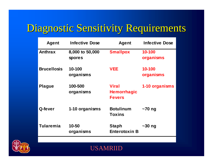## Diagnostic Sensitivity Requirements Diagnostic Sensitivity Requirements

| <b>Agent</b>       | <b>Infective Dose</b>            | <b>Agent</b>                                        | <b>Infective Dose</b> |
|--------------------|----------------------------------|-----------------------------------------------------|-----------------------|
| <b>Anthrax</b>     | 8,000 to 50,000<br><b>spores</b> | <b>Smallpox</b>                                     | 10-100<br>organisms   |
| <b>Brucellosis</b> | 10-100<br>organisms              | <b>VEE</b>                                          | 10-100<br>organisms   |
| <b>Plague</b>      | 100-500<br>organisms             | <b>Viral</b><br><b>Hemorrhagic</b><br><b>Fevers</b> | 1-10 organisms        |
| Q-fever            | 1-10 organisms                   | <b>Botulinum</b><br><b>Toxins</b>                   | $\sim$ 70 ng          |
| <b>Tularemia</b>   | 10-50<br>organisms               | <b>Staph</b><br><b>Enterotoxin B</b>                | $\sim$ 30 ng          |
|                    |                                  |                                                     |                       |

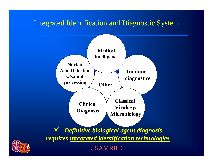#### Integrated Identification and Diagnostic System



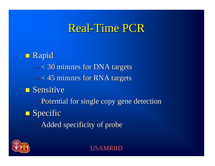#### Real-Time PCR



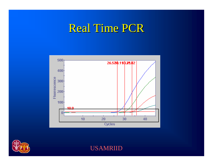#### Real Time PCR



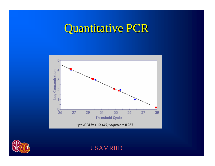## Quantitative PCR



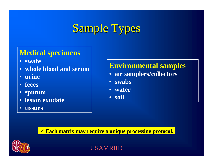### Sample Types

#### **Medical specimens**

- **swabs**
- **whole blood and serum**
- **urine**
- **feces**
- **sputum**
- **lesion exudate**
- **tissues**

#### **Environmental samples**

- **air samplers/collectors**
- **swabs**
- **water**
- **soil**

" **Each matrix may require a unique processing protocol.**

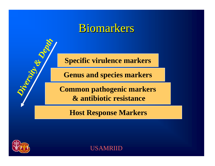#### Biomarkers

**Specific virulence markers**

**Genus and species markers**

**Common pathogenic markers & antibiotic resistance**

**Host Response Markers**



*Diversity*

*&*

*Depth*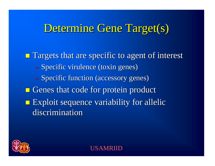#### Determine Gene Target(s)

 $\blacksquare$  Targets that are specific to agent of interest – Specific virulence (toxin genes) – Specific function (accessory genes)  $\blacksquare$  Genes that code for protein product  $\blacksquare$  Exploit sequence variability for allelic discrimination

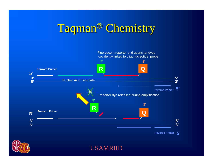## Taqman® Chemistry



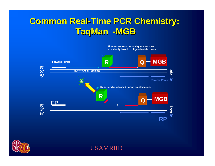#### **Common Real-Time PCR Chemistry: TaqMan-MGB**



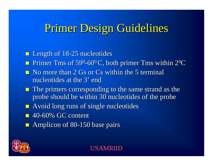#### Primer Design Guidelines

**E** Length of 18-25 nucleotides

- !Primer Tms of  $59^0$ -60<sup>0</sup>C, both primer Tms within  $2^0C$
- $\blacksquare$  No more than 2 Gs or Cs within the 5 terminal nucleotides at the 3' end
- $\blacksquare$  The primers corresponding to the same strand as the probe should be within 30 nucleotides of the probe
- $\blacksquare$  Avoid long runs of single nucleotides
- $\blacksquare$  40-60% GC content
- $\blacksquare$  Amplicon of 80-150 base pairs

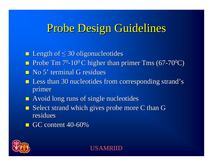### Probe Design Guidelines

 $\blacksquare$  Length of  $\leq 30$  oligonucleotides

- **Probe Tm 7<sup>0</sup>-10<sup>0</sup>C higher than primer Tms (67-70<sup>0</sup>C)**
- $\blacksquare$  No 5' terminal G residues
- $\blacksquare$  Less than 30 nucleotides from corresponding strand's primer
- $\blacksquare$  Avoid long runs of single nucleotides
- $\blacksquare$  Select strand which gives probe more C than G residues
- $\blacksquare$  GC content 40-60%

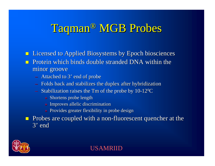### Taqman® MGB Probes

**.** Licensed to Applied Biosystems by Epoch biosciences Protein which binds double stranded DNA within the minor groove

- Attached to 3' end of probe
- $-$  Folds back and stabilizes the duplex after hybridization
- $-$  Stabilization raises the Tm of the probe by  $10$ - $12^0C$ 
	- » Shortens probe length
	- » Improves allelic discrimination
	- » Provides greater flexibility in probe design

 $\blacksquare$ Probes are coupled with a non-fluorescent quencher at the 3' end

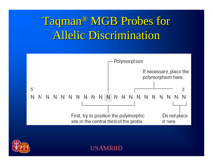# Taqman® MGB Probes for **Allelic Discrimination**



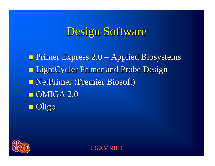### Design Software

 $\blacksquare$  **Primer Express 2.0 – Applied Biosystems Example 2 LightCycler Primer and Probe Design LightCycler Primer and Probe Design E NetPrimer (Premier Biosoft)**  $\blacksquare$  OMIGA 2.0 ■ Oligo

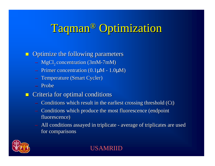## Taqman® Optimization

#### $\blacksquare$  Optimize the following parameters

- $-$  MgCl<sub>2</sub> concentration (3mM-7mM)
- Primer concentration (0.1 $\mu$ M 1.0 $\mu$ M)
- Temperature (Smart Cycler)
- Probe
- $\blacksquare$ Criteria for optimal conditions
	- $-$  Conditions which result in the earliest crossing threshold (Ct)
	- Conditions which produce the most fluorescence (endpoint fluorescence)
	- All conditions assayed in triplicate average of triplicates are used for comparisons

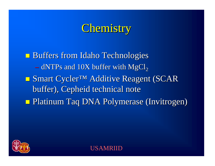### Chemistry

**Buffers from Idaho Technologies**  $-$  dNTPs and 10X buffer with MgCl<sub>2</sub> ■ Smart Cycler<sup>™</sup> Additive Reagent (SCAR buffer), Cepheid technical note  $\blacksquare$  **Platinum Taq DNA Polymerase (Invitrogen)** 

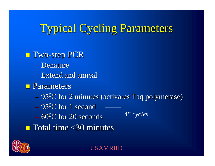### Typical Cycling Parameters

**T** Two-step PCR – Denature – Extend and anneal  $\blacksquare$  Parameters  $-$  95<sup>0</sup>C for 2 minutes (activates Taq polymerase)  $-$  95<sup>0</sup>C for 1 second  $-60^{\circ}$ C for 20 seconds  $\blacksquare$  Total time <30 minutes *45 cycles*

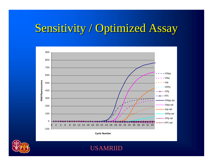### Sensitivity / Optimized Assay



**Cycle Number**

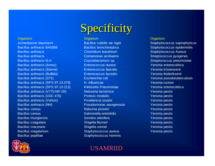Bacillus anthracis BA0068 Bacillus bronchiseptica Staphylococcus epidermidis Bacillus anthracis **Clostridium botulinium** Communicum Staphylococcus Aureus Bacillus anthracis **Comamonas acidivarns** Comemonas acidivarns Streptococcus pyogenes Bacillus anthracis N.H. Corynebacterium sp. Streptococcus pneumoniae Bacillus anthracis (Ames) **Enterococcus durans** The Contract Persinia enterocolitica Bacillus anthracis (Sterne) Enterococcus faecalis Xersinia kristensenii Bacillus anthracis (Buffalo) Enterococcus facealis Xersinia frederiksenii Bacillus anthracis (ST1) Escherichia coli Network Charles anthracis (ST1) Bacillus anthracis (ST1) Bacillus anthracis (SPS.97.13.079) H. influenzae Yersinia ruckeri Bacillus anthracis (SPS 97.13.213) Klebsiella Pneumoniae Versinia enterocolitica Bacillus anthracis (V770-NP-1R) Neisseria lactamica Versinia pestis Bacillus anthracis (CDC 476) **Proteus mirabilis** Proteus **Macillus Anthracis** Yersinia pestis Bacillus anthracis (Vollum) Providencia stuartii Versinia pestis Bacillus anthracis (NH) Pseudomonas aeurgenosia Yersinia pestis Bacillus cereus **Ralsonia picketti** Ralsonia picketti Yersinia pestis Bacillus cereus **Salmonella enteritidis** The Salmonella enteritidis **Salmonella enteritidis** Yersinia pestis Bacillus thurigiensis **Serratia odorifera** Serratia Providentia Persinia pestis Bacillus coagulans **Shigella flexneri** Shigella flexneri Yersinia pestis Bacillus macerans **Shigella sonnei** Shigella sonnei Yersinia pestis Bacillus megaterium and Staphylococcus aureus Theorem Yersinia pestis Bacillus popilliae Staphylococcus hominis



### Specificity

#### Organism Organism Organism

Acineobacter baumanni and Bacillus subtilis var niger Staphylococcus saprophyticus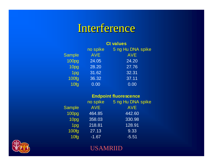#### Interference

|                   | <b>Ct values</b> |                   |  |
|-------------------|------------------|-------------------|--|
|                   | no spike         | 5 ng Hu DNA spike |  |
| <b>Sample</b>     | <b>AVE</b>       | <b>AVE</b>        |  |
| 100 <sub>pg</sub> | 24.05            | 24.20             |  |
| 10pg              | 28.20            | 27.76             |  |
| 1pg               | 31.62            | 32.31             |  |
| <b>100fg</b>      | 36.32            | 37.11             |  |
| 10fg              | 0.00             | 0.00              |  |

| <b>Endpoint fluorescence</b> |  |
|------------------------------|--|
|                              |  |

|                   | no spike   | 5 ng Hu DNA spike |
|-------------------|------------|-------------------|
| <b>Sample</b>     | <b>AVE</b> | <b>AVE</b>        |
| 100 <sub>pg</sub> | 464.85     | 442.60            |
| 10pg              | 358.03     | 330.98            |
| 1 <sub>pg</sub>   | 218.81     | 128.91            |
| 100fg             | 27.13      | 9.33              |
| 10fg              | $-1.67$    | $-5.51$           |

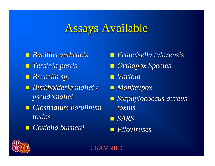#### **Assays Available**

! *Bacillus anthracis Bacillus anthracis*! *Yersinia pestis Yersinia pestis* ! *Brucella sp. Brucella sp.* ! *Burkholderia mallei / Burkholderia mallei / pseudomallei pseudomallei* ! *Clostridium botulinum Clostridium botulinum toxins* ! *Coxiella Coxiella burnetti burnetti*

! *Francisella tularensis Francisella tularensis* $\blacksquare$  *Orthopox Species* ! *Variola Variola*! *Monkeypox Monkeypox* **E** Staphylococcus aureus *toxins*! *SARS* ! *Filoviruses Filoviruses*